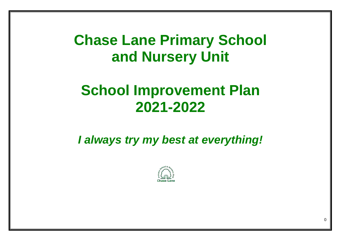**Chase Lane Primary School and Nursery Unit** 

# **School Improvement Plan 2021-2022**

*I always try my best at everything!*



 $\Omega$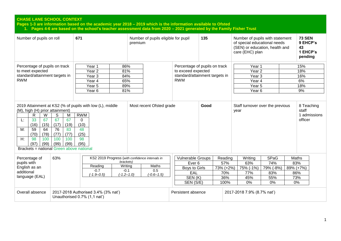**Pages 1-3 are information based on the academic year 2018 – 2019 which is the information available to Ofsted 1. Pages 4-6 are based on the school's teacher assessment data from 2020 – 2021 generated by the Family Fisher Trust**

| Number of pupils on roll                                                                                                                                                                                                                                                                                                                                            | 671                                                                                                                                        | Number of pupils eligible for pupil<br>premium                                                                                                    |                                                                                                     | 135                                             | Number of pupils with statement<br>of special educational needs<br>(SEN) or education, health and<br>care (EHC) plan |                                               |  | <b>73 SEN</b><br>9 EHCP's<br>43<br>1 EHCP's<br>pending |
|---------------------------------------------------------------------------------------------------------------------------------------------------------------------------------------------------------------------------------------------------------------------------------------------------------------------------------------------------------------------|--------------------------------------------------------------------------------------------------------------------------------------------|---------------------------------------------------------------------------------------------------------------------------------------------------|-----------------------------------------------------------------------------------------------------|-------------------------------------------------|----------------------------------------------------------------------------------------------------------------------|-----------------------------------------------|--|--------------------------------------------------------|
| Percentage of pupils on track<br>to meet expected<br>standard/attainment targets in<br><b>RWM</b>                                                                                                                                                                                                                                                                   | Year 1<br>86%<br>Year <sub>2</sub><br>81%<br>84%<br>Year 3<br>65%<br>Year 4<br>89%<br>Year 5<br>Year <sub>6</sub><br>81%                   |                                                                                                                                                   | Percentage of pupils on track<br>to exceed expected<br>standard/attainment targets in<br><b>RWM</b> |                                                 | Year 1<br>Year <sub>2</sub><br>Year <sub>3</sub><br>Year 4<br>Year 5<br>Year <sub>6</sub>                            |                                               |  | 15%<br>18%<br>16%<br>6%<br>18%<br>9%                   |
| 2019 Attainment at KS2 (% of pupils with low (L), middle<br>(M), high (H) prior attainment)<br>$\mathsf{R}$<br>W<br>S<br>Μ<br>67<br>33<br>67<br>67<br>L:<br>(17)<br>(16)<br>(15)<br>(19)<br>M:<br>59<br>83<br>64<br>76<br>(70)<br>(78)<br>(77)<br>(77)<br>H:<br>98<br>100<br>100<br>100<br>(97)<br>(99)<br>(99)<br>(99)<br>Brackets = national Green above national | <b>RWM</b><br>0<br>(10)<br>48<br>(25)<br>98<br>(95)                                                                                        | Most recent Ofsted grade                                                                                                                          |                                                                                                     | Good                                            | Staff turnover over the previous<br>year                                                                             |                                               |  | 8 Teaching<br>staff<br>1 admissions<br>officer         |
| 63%<br>Percentage of<br>pupils with<br>English as an<br>additional<br>language (EAL)                                                                                                                                                                                                                                                                                | KS2 2019 Progress (with confidence intervals in<br>brackets)<br>Reading<br>Writing<br>$-0.7$<br>$-0.1$<br>$(-1.9 - 0.5)$<br>$(-1.2 - 1.0)$ | <b>Vulnerable Groups</b><br>Reading<br>57%<br>Ever <sub>6</sub><br>Boys to Girls<br>73% (+2%)<br>EAL<br>70%<br>SEN(K)<br>36%<br>SEN (S/E)<br>100% |                                                                                                     | Writing<br>63%<br>75% (-1%)<br>77%<br>45%<br>0% | <b>SPaG</b><br>74%<br>79% (-8%)<br>83%<br>55%<br>0%                                                                  | Maths<br>83%<br>89% (+7%)<br>86%<br>73%<br>0% |  |                                                        |
| Overall absence                                                                                                                                                                                                                                                                                                                                                     | 2017-2018 Authorised 3.4% (3% nat')<br>Unauthorised 0.7% (1,1 nat')                                                                        | Persistent absence                                                                                                                                |                                                                                                     | 2017-2018 7.9% (8.7% nat')                      |                                                                                                                      |                                               |  |                                                        |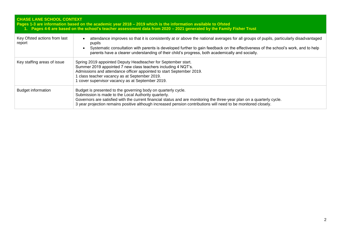| <b>CHASE LANE SCHOOL CONTEXT</b>       | Pages 1-3 are information based on the academic year 2018 - 2019 which is the information available to Ofsted<br>1. Pages 4-6 are based on the school's teacher assessment data from 2020 - 2021 generated by the Family Fisher Trust                                                                                                                                                                |
|----------------------------------------|------------------------------------------------------------------------------------------------------------------------------------------------------------------------------------------------------------------------------------------------------------------------------------------------------------------------------------------------------------------------------------------------------|
| Key Ofsted actions from last<br>report | attendance improves so that it is consistently at or above the national averages for all groups of pupils, particularly disadvantaged<br>pupils<br>Systematic consultation with parents is developed further to gain feedback on the effectiveness of the school's work, and to help<br>$\bullet$<br>parents have a clearer understanding of their child's progress, both academically and socially. |
| Key staffing areas of issue            | Spring 2019 appointed Deputy Headteacher for September start.<br>Summer 2019 appointed 7 new class teachers including 4 NQT's.<br>Admissions and attendance officer appointed to start September 2019.<br>I class teacher vacancy as at September 2019.<br>cover supervisor vacancy as at September 2019.                                                                                            |
| <b>Budget information</b>              | Budget is presented to the governing body on quarterly cycle.<br>Submission is made to the Local Authority quarterly.<br>Governors are satisfied with the current financial status and are monitoring the three-year plan on a quarterly cycle.<br>3 year projection remains positive although increased pension contributions will need to be monitored closely.                                    |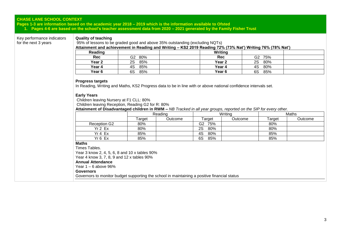**Pages 1-3 are information based on the academic year 2018 – 2019 which is the information available to Ofsted 1. Pages 4-6 are based on the school's teacher assessment data from 2020 – 2021 generated by the Family Fisher Trust**

Key performance indicators for the next 3 years

#### **Quality of teaching**

95% of lessons to be graded good and above 35% outstanding (excluding NQTs) **Attainment and achievement in Reading and Writing – KS2 2019 Reading 72% (73% Nat') Writing 76% (78% Nat')**

| Reading |           | Writing           |                       |  |
|---------|-----------|-------------------|-----------------------|--|
| Rec     | 80%<br>G2 | Rec               | G <sub>2</sub><br>75% |  |
| Year 2  | 85%<br>2S | Year 2            | 80%<br>2S             |  |
| Year 4  | 85%<br>4S | Year 4            | 80%<br>4S             |  |
| Year 6  | 85%<br>6S | Year <sub>6</sub> | 85%<br>6S             |  |

#### **Progress targets**

In Reading, Writing and Maths, KS2 Progress data to be in line with or above national confidence intervals set.

#### **Early Years**

Children leaving Nursery at F1 CLL: 80%

Children leaving Reception, Reading G2 for R: 80%

**Attainment of Disadvantaged children in RWM –** *NB Tracked in all year groups, reported on the SIP for every other.*

|                     | Reading |         |           | Writing | Maths  |         |  |
|---------------------|---------|---------|-----------|---------|--------|---------|--|
|                     | Γarget  | Outcome | Target    | Outcome | Target | Outcome |  |
| <b>Reception G2</b> | 80%     |         | G2<br>75% |         | 80%    |         |  |
| Yr 2 Ex             | 80%     |         | 2S<br>80% |         | 80%    |         |  |
| Yr 4 Ex             | 85%     |         | 80%<br>4S |         | 85%    |         |  |
| Yr <sub>6</sub> Ex  | 85%     |         | 6S<br>85% |         | 85%    |         |  |

#### **Maths**

Times Tables.

Year 3 know 2, 4, 5, 6, 8 and 10 x tables 90%

Year 4 know 3, 7, 8, 9 and 12 x tables 90%

#### **Annual Attendance**

Year  $1 - 6$  above 96%

#### **Governors**

Governors to monitor budget supporting the school in maintaining a positive financial status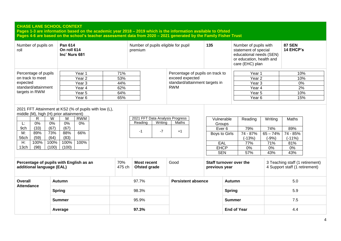| <b>CHASE LANE SCHOOL CONTEXT</b>                                                                                                              | Pages 1-3 are information based on the academic year 2018 - 2019 which is the information available to Ofsted<br>Pages 4-6 are based on the school's teacher assessment data from 2020 - 2021 generated by the Family Fisher Trust |               |                                                                       |                                  |                                                                                                       |               |                                                                                                                         |                                                                |                                                                   |  |
|-----------------------------------------------------------------------------------------------------------------------------------------------|------------------------------------------------------------------------------------------------------------------------------------------------------------------------------------------------------------------------------------|---------------|-----------------------------------------------------------------------|----------------------------------|-------------------------------------------------------------------------------------------------------|---------------|-------------------------------------------------------------------------------------------------------------------------|----------------------------------------------------------------|-------------------------------------------------------------------|--|
| roll                                                                                                                                          | Pan 614<br>Number of pupils on<br>On roll 614<br>Inc' Nurs 681                                                                                                                                                                     |               | Number of pupils eligible for pupil<br>premium                        |                                  | 135                                                                                                   |               | Number of pupils with<br>statement of special<br>educational needs (SEN)<br>or education, health and<br>care (EHC) plan |                                                                | <b>87 SEN</b><br>14 EHCP's                                        |  |
| Percentage of pupils                                                                                                                          | Year 1                                                                                                                                                                                                                             | 71%           |                                                                       | Percentage of pupils on track to |                                                                                                       |               | Year 1                                                                                                                  |                                                                | 10%                                                               |  |
| on track to meet                                                                                                                              | Year <sub>2</sub>                                                                                                                                                                                                                  | 53%           |                                                                       | exceed expected                  |                                                                                                       |               | Year <sub>2</sub>                                                                                                       |                                                                | 10%                                                               |  |
| expected                                                                                                                                      | Year <sub>3</sub>                                                                                                                                                                                                                  | 44%           |                                                                       | standard/attainment targets in   |                                                                                                       |               | Year <sub>3</sub>                                                                                                       |                                                                | 0%                                                                |  |
| standard/attainment                                                                                                                           | Year 4                                                                                                                                                                                                                             | 62%           |                                                                       | <b>RWM</b>                       |                                                                                                       |               | Year 4                                                                                                                  |                                                                | 2%                                                                |  |
| targets in RWM                                                                                                                                | Year 5                                                                                                                                                                                                                             | 64%           |                                                                       |                                  |                                                                                                       |               | Year 5                                                                                                                  |                                                                | 10%                                                               |  |
|                                                                                                                                               | Year 6                                                                                                                                                                                                                             | 65%           |                                                                       |                                  |                                                                                                       |               | Year <sub>6</sub>                                                                                                       |                                                                | 15%                                                               |  |
| middle (M), high (H) prior attainment)<br>R<br>0%<br>L:<br>(33)<br>9ch<br>89%<br>M:<br>56ch<br>(59)<br>100%<br>H:<br>(98)<br>13 <sub>ch</sub> | 2021 FFT Attainment at KS2 (% of pupils with low (L),<br><b>RWM</b><br>W<br>M<br>0%<br>0%<br>0%<br>(67)<br>(67)<br>66%<br>73%<br>88%<br>(83)<br>(64)<br>100%<br>100%<br>100%<br>(100)<br>(100)                                     |               | 2021 FFT Data Analysis Progress<br>Writing<br>Reading<br>$-7$<br>$-1$ | Maths<br>$+1$                    | Vulnerable<br>Groups<br>Ever <sub>6</sub><br>Boys to Girls<br><b>EAL</b><br><b>EHCP</b><br><b>SEN</b> |               | Reading<br>79%<br>74 - 87%<br>$(-13%)$<br>77%<br>0%<br>57%                                                              | Writing<br>74%<br>$65 - 74%$<br>$(-9%)$<br>71%<br>$0\%$<br>43% | Maths<br>89%<br>74 - 85%<br>$(-11\%)$<br>81%<br>$0\%$<br>43%      |  |
| additional language (EAL)                                                                                                                     | Percentage of pupils with English as an                                                                                                                                                                                            | 70%<br>475 ch | <b>Most recent</b><br>Ofsted grade                                    | Good                             | Staff turnover over the<br>previous year                                                              |               |                                                                                                                         |                                                                | 3 Teaching staff (1 retirement)<br>4 Support staff (1 retirement) |  |
| Overall<br><b>Attendance</b>                                                                                                                  | <b>Autumn</b>                                                                                                                                                                                                                      |               | 97.7%                                                                 | <b>Persistent absence</b>        |                                                                                                       | <b>Autumn</b> |                                                                                                                         |                                                                | 5.0                                                               |  |
|                                                                                                                                               | <b>Spring</b>                                                                                                                                                                                                                      | 98.3%         |                                                                       |                                  |                                                                                                       |               | <b>Spring</b>                                                                                                           |                                                                | 5.9                                                               |  |
|                                                                                                                                               | Summer                                                                                                                                                                                                                             |               |                                                                       | 95.9%                            |                                                                                                       | <b>Summer</b> |                                                                                                                         |                                                                | 7.5                                                               |  |
|                                                                                                                                               | 97.3%<br>Average                                                                                                                                                                                                                   |               |                                                                       | <b>End of Year</b>               |                                                                                                       |               | 4.4                                                                                                                     |                                                                |                                                                   |  |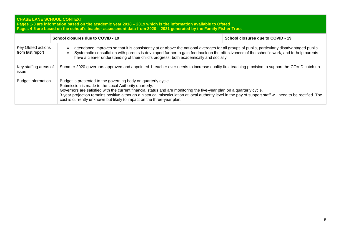**Pages 1-3 are information based on the academic year 2018 – 2019 which is the information available to Ofsted Pages 4-6 are based on the school's teacher assessment data from 2020 – 2021 generated by the Family Fisher Trust**

|                                                                                                                                                                                                                                                                                                                                                                                                                                | School closures due to COVID - 19                                                                                                                                                                                                                                                                                                                                                                                                                                                       |  | School closures due to COVID - 19 |  |  |  |
|--------------------------------------------------------------------------------------------------------------------------------------------------------------------------------------------------------------------------------------------------------------------------------------------------------------------------------------------------------------------------------------------------------------------------------|-----------------------------------------------------------------------------------------------------------------------------------------------------------------------------------------------------------------------------------------------------------------------------------------------------------------------------------------------------------------------------------------------------------------------------------------------------------------------------------------|--|-----------------------------------|--|--|--|
| Key Ofsted actions<br>attendance improves so that it is consistently at or above the national averages for all groups of pupils, particularly disadvantaged pupils<br>from last report<br>Systematic consultation with parents is developed further to gain feedback on the effectiveness of the school's work, and to help parents<br>have a clearer understanding of their child's progress, both academically and socially. |                                                                                                                                                                                                                                                                                                                                                                                                                                                                                         |  |                                   |  |  |  |
| Key staffing areas of<br>issue                                                                                                                                                                                                                                                                                                                                                                                                 | Summer 2020 governors approved and appointed 1 teacher over needs to increase quality first teaching provision to support the COVID catch up.                                                                                                                                                                                                                                                                                                                                           |  |                                   |  |  |  |
| <b>Budget information</b>                                                                                                                                                                                                                                                                                                                                                                                                      | Budget is presented to the governing body on quarterly cycle.<br>Submission is made to the Local Authority quarterly.<br>Governors are satisfied with the current financial status and are monitoring the five-year plan on a quarterly cycle.<br>3-year projection remains positive although a historical miscalculation at local authority level in the pay of support staff will need to be rectified. The<br>cost is currently unknown but likely to impact on the three-year plan. |  |                                   |  |  |  |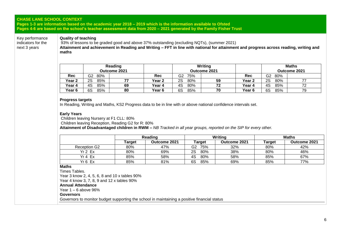**Pages 1-3 are information based on the academic year 2018 – 2019 which is the information available to Ofsted Pages 4-6 are based on the school's teacher assessment data from 2020 – 2021 generated by the Family Fisher Trust**

Key performance indicators for the next 3 years

#### **Quality of teaching**

93% of lessons to be graded good and above 37% outstanding (excluding NQTs), (summer 2021) **Attainment and achievement in Reading and Writing – FFT in line with national for attainment and progress across reading, writing and maths**

|                   | Reading<br>Outcome 2021 |    |        | Writing<br>Outcome 2021 |    |                   |            | <b>Maths</b><br>Outcome 2021 |
|-------------------|-------------------------|----|--------|-------------------------|----|-------------------|------------|------------------------------|
| Rec               | G2<br>80%               |    | Rec    | G2<br>75%               |    | Rec               | G2<br>-80% |                              |
| Year <sub>2</sub> | 85%<br>2S               |    | Year 2 | 2S<br>80%               | 59 | <b>Year 2</b>     | 2S<br>80%  |                              |
| Year 4            | 85%<br>4S               | 69 | Year 4 | 80%<br>4S               | 72 | Year 4            | 85%<br>4S  | 72                           |
| Year 6            | 85%<br>6S               | 80 | Year 6 | 6S<br>85%               | 70 | Year <sub>6</sub> | 6S<br>85%  | 79                           |

#### **Progress targets**

In Reading, Writing and Maths, KS2 Progress data to be in line with or above national confidence intervals set.

#### **Early Years**

Children leaving Nursery at F1 CLL: 80% Children leaving Reception, Reading G2 for R: 80%

**Attainment of Disadvantaged children in RWM –** *NB Tracked in all year groups, reported on the SIP for every other.*

|                    | Reading       |              |           | Writing      | <b>Maths</b> |              |  |
|--------------------|---------------|--------------|-----------|--------------|--------------|--------------|--|
|                    | <b>Target</b> | Outcome 2021 | Target    | Outcome 2021 | Target       | Outcome 2021 |  |
| Reception G2       | 80%           | 47%          | G2<br>75% | 32%          | 80%          | 42%          |  |
| Yr 2 Ex            | 80%           | 69%          | 2S<br>80% | 38%          | 80%          | 46%          |  |
| Yr 4 Ex            | 85%           | 58%          | 80%<br>4S | 58%          | 85%          | 67%          |  |
| Yr <sub>6</sub> Ex | 85%           | 81%          | 6S<br>85% | 69%          | 85%          | 77%          |  |

#### **Maths**

Times Tables.

Year 3 know 2, 4, 5, 6, 8 and 10 x tables 90%

Year 4 know 3, 7, 8, 9 and 12 x tables 90%

#### **Annual Attendance**

Year 1 – 6 above 96%

**Governors**

Governors to monitor budget supporting the school in maintaining a positive financial status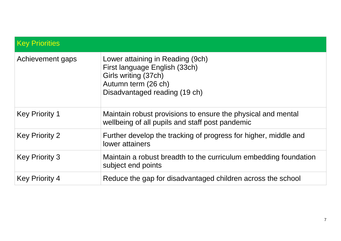| <b>Key Priorities</b> |                                                                                                                                                   |
|-----------------------|---------------------------------------------------------------------------------------------------------------------------------------------------|
| Achievement gaps      | Lower attaining in Reading (9ch)<br>First language English (33ch)<br>Girls writing (37ch)<br>Autumn term (26 ch)<br>Disadvantaged reading (19 ch) |
| <b>Key Priority 1</b> | Maintain robust provisions to ensure the physical and mental<br>wellbeing of all pupils and staff post pandemic                                   |
| <b>Key Priority 2</b> | Further develop the tracking of progress for higher, middle and<br>lower attainers                                                                |
| <b>Key Priority 3</b> | Maintain a robust breadth to the curriculum embedding foundation<br>subject end points                                                            |
| <b>Key Priority 4</b> | Reduce the gap for disadvantaged children across the school                                                                                       |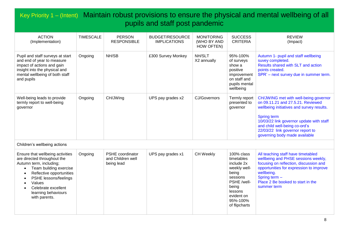### Key Priority 1 – (Intent) Maintain robust provisions to ensure the physical and mental wellbeing of all pupils and staff post pandemic

| <b>ACTION</b><br>(Implementation)                                                                                                                                             | <b>TIMESCALE</b> | <b>PERSON</b><br><b>RESPONSIBLE</b> | <b>BUDGET/RESOURCE</b><br><b>IMPLICATIONS</b> | <b>MONITORING</b><br>(WHO BY AND<br>HOW OFTEN) | <b>SUCCESS</b><br><b>CRITERIA</b>                                                                         | <b>REVIEW</b><br>(Impact)                                                                                                                                                                                                                                                                       |
|-------------------------------------------------------------------------------------------------------------------------------------------------------------------------------|------------------|-------------------------------------|-----------------------------------------------|------------------------------------------------|-----------------------------------------------------------------------------------------------------------|-------------------------------------------------------------------------------------------------------------------------------------------------------------------------------------------------------------------------------------------------------------------------------------------------|
| Pupil and staff surveys at start<br>and end of year to measure<br>impact of actions and gain<br>insight into the physical and<br>mental wellbeing of both staff<br>and pupils | Ongoing          | NH/SB                               | £300 Survey Monkey                            | NH/SLT<br>X2 annually                          | 95%-100%<br>of surveys<br>show a<br>positive<br>improvement<br>on staff and<br>pupils mental<br>wellbeing | Autumn 1- pupil and staff wellbeing<br>suvey completed.<br>Results shared with SLT and action<br>points created.<br>SPR' - next survey due in summer term.                                                                                                                                      |
| Well-being leads to provide<br>termly report to well-being<br>governor                                                                                                        | Ongoing          | CH/JWing                            | UPS pay grades x2                             | CJ/Governors                                   | Termly report<br>presented to<br>governor                                                                 | CH/JWING met with well-being governor<br>on 09.11.21 and 27.5.21. Reviewed<br>wellbeing initiatives and survey results.<br><b>Spring term</b><br>10/03/22 link governor update with staff<br>and child well-being co-ord's<br>22/03/22 link governor report to<br>governing body made available |

Children's wellbeing actions

| Ensure that wellbeing activities<br>are directed throughout the<br>Autumn term, including;<br>Team building exercise<br>Reflective opportunities<br><b>PSHE lessons/feelings</b><br>Values<br>Celebrate excellent<br>learning behaviours<br>with parents. | Ongoing | <b>PSHE</b> coordinator<br>and Children well<br>being lead | UPS pay grades x1 | CH Weekly | 100% class<br>timetables<br>include 2x<br>weekly well-<br>being<br>sessions<br>PSHE /well-<br>being<br>lessons<br>evident on<br>95%-100%<br>of flipcharts | All teaching staff have timetabled<br>wellbeing and PHSE sessions weekly,<br>focusing on reflection, discussion and<br>opportunities for expression to improve<br>wellbeing.<br>Spring term $-$<br>Place 2 Be booked to start in the<br>summer term |
|-----------------------------------------------------------------------------------------------------------------------------------------------------------------------------------------------------------------------------------------------------------|---------|------------------------------------------------------------|-------------------|-----------|-----------------------------------------------------------------------------------------------------------------------------------------------------------|-----------------------------------------------------------------------------------------------------------------------------------------------------------------------------------------------------------------------------------------------------|
|-----------------------------------------------------------------------------------------------------------------------------------------------------------------------------------------------------------------------------------------------------------|---------|------------------------------------------------------------|-------------------|-----------|-----------------------------------------------------------------------------------------------------------------------------------------------------------|-----------------------------------------------------------------------------------------------------------------------------------------------------------------------------------------------------------------------------------------------------|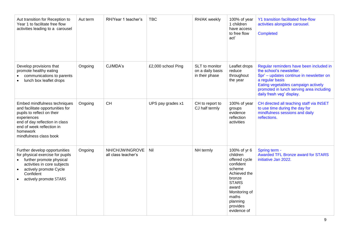| Aut transition for Reception to<br>Year 1 to facilitate free flow<br>activities leading to a carousel                                                                                                              | Aut term | RH/Year 1 teacher's                    | <b>TBC</b>         | RH/AK weekly                                         | 100% of year<br>1 children<br>have access<br>to free flow<br>act'                                                                                                                    | Y1 transition facilitated free-flow<br>activities alongside carousel.<br><b>Completed</b>                                                                                                                                                          |
|--------------------------------------------------------------------------------------------------------------------------------------------------------------------------------------------------------------------|----------|----------------------------------------|--------------------|------------------------------------------------------|--------------------------------------------------------------------------------------------------------------------------------------------------------------------------------------|----------------------------------------------------------------------------------------------------------------------------------------------------------------------------------------------------------------------------------------------------|
| Develop provisions that<br>promote healthy eating<br>communications to parents<br>lunch box leaflet drops                                                                                                          | Ongoing  | CJ/MDA's                               | £2,000 school Ping | SLT to monitor<br>on a daily basis<br>in their phase | Leaflet drops<br>reduce<br>throughout<br>the year                                                                                                                                    | Regular reminders have been included in<br>the school's newsletter.<br>Spr' - updates continue in newsletter on<br>a regular basis<br>Eating vegetables campaign actively<br>promoted in lunch serving area including<br>daily fresh veg' display. |
| Embed mindfulness techniques<br>and facilitate opportunities for<br>pupils to reflect on their<br>experiences<br>end of day reflection in class<br>end of week reflection in<br>homework<br>mindfulness class book | Ongoing  | <b>CH</b>                              | UPS pay grades x1  | CH to report to<br>CJ half termly                    | 100% of year<br>groups<br>evidence<br>reflection<br>activities                                                                                                                       | CH directed all teaching staff via INSET<br>to use time during the day for<br>mindfulness sessions and daily<br>reflections.                                                                                                                       |
| Further develop opportunities<br>for physical exercise for pupils<br>further promote physical<br>activities in core subjects<br>actively promote Cycle<br>Confident<br>actively promote STARS                      | Ongoing  | NH/CH/JWINGROVE<br>all class teacher's | Nil                | NH termly                                            | 100% of yr 6<br>children<br>offered cycle<br>confident<br>scheme<br>Achieved the<br>bronze<br><b>STARS</b><br>award<br>Monitoring of<br>maths<br>planning<br>provides<br>evidence of | Spring term -<br><b>Awarded TFL Bronze award for STARS</b><br>initiative Jan 2022.                                                                                                                                                                 |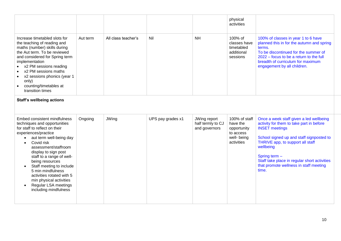|                                                                                                                                                                                                                                                                                                                            |          |                     |     |           | physical<br>activities                                          |                                                                                                                                                                                                                                                   |
|----------------------------------------------------------------------------------------------------------------------------------------------------------------------------------------------------------------------------------------------------------------------------------------------------------------------------|----------|---------------------|-----|-----------|-----------------------------------------------------------------|---------------------------------------------------------------------------------------------------------------------------------------------------------------------------------------------------------------------------------------------------|
| Increase timetabled slots for<br>the teaching of reading and<br>maths (number) skills during<br>the Aut term. To be reviewed<br>and considered for Spring term<br>implementation<br>• x2 PM sessions reading<br>x2 PM sessions maths<br>x2 sessions phonics (year 1<br>only)<br>counting/timetables at<br>transition times | Aut term | All class teacher's | Nil | <b>NH</b> | 100% of<br>classes have<br>timetabled<br>additional<br>sessions | 100% of classes in year 1 to 6 have<br>planned this in for the autumn and spring<br>terms.<br>To be discontinued for the summer of<br>2022 – focus to be a return to the full<br>breadth of curriculum for maximum<br>engagement by all children. |

#### **Staff's wellbeing actions Staff's wellbeing actions**

| JWing<br>Ongoing<br>UPS pay grades x1<br>Once a week staff given a led wellbeing<br>JWing report<br>100% of staff<br>activity for them to take part in before<br>half termly to CJ<br>have the<br><b>INSET</b> meetings<br>and governors<br>opportunity<br>to access<br>well- being<br>School signed up and staff signposted to<br>aut term well-being day<br>THRIVE app, to support all staff<br>activities<br>Covid risk<br>wellbeing<br>assessment/staffroom<br>display to sign post<br>Spring term $-$<br>staff to a range of well-<br>Staff take place in regular short activities<br>being resources<br>that promote wellness in staff meeting<br>Staff meeting to include<br>time.<br>5 min mindfulness<br>activities rotated with 5<br>min physical activities<br>Regular LSA meetings<br>including mindfulness |                                                                                                                       |  |  |  |
|-------------------------------------------------------------------------------------------------------------------------------------------------------------------------------------------------------------------------------------------------------------------------------------------------------------------------------------------------------------------------------------------------------------------------------------------------------------------------------------------------------------------------------------------------------------------------------------------------------------------------------------------------------------------------------------------------------------------------------------------------------------------------------------------------------------------------|-----------------------------------------------------------------------------------------------------------------------|--|--|--|
|                                                                                                                                                                                                                                                                                                                                                                                                                                                                                                                                                                                                                                                                                                                                                                                                                         | Embed consistent mindfulness<br>techniques and opportunities<br>for staff to reflect on their<br>experiences/practice |  |  |  |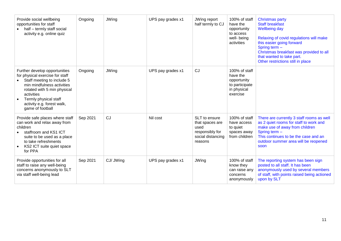| Provide social wellbeing<br>opportunities for staff<br>half - termly staff social<br>activity e.g. online quiz                                                                                                                                       | Ongoing  | JWing        | UPS pay grades x1 | JWing report<br>half termly to CJ                                                           | 100% of staff<br>have the<br>opportunity<br>to access<br>well- being<br>activities    | <b>Christmas party</b><br><b>Staff breakfast</b><br><b>Wellbeing day</b><br>Relaxing of covid regulations will make<br>this easier going forward<br>Spring term -<br>Christmas breakfast was provided to all<br>that wanted to take part.<br>Other restrictions still in place |
|------------------------------------------------------------------------------------------------------------------------------------------------------------------------------------------------------------------------------------------------------|----------|--------------|-------------------|---------------------------------------------------------------------------------------------|---------------------------------------------------------------------------------------|--------------------------------------------------------------------------------------------------------------------------------------------------------------------------------------------------------------------------------------------------------------------------------|
| Further develop opportunities<br>for physical exercise for staff<br>Staff meeting to include 5<br>min mindfulness activities<br>rotated with 5 min physical<br>activities<br>Termly physical staff<br>activity e.g. forest walk,<br>game of football | Ongoing  | <b>JWing</b> | UPS pay grades x1 | CJ                                                                                          | 100% of staff<br>have the<br>opportunity<br>to participate<br>in physical<br>exercise |                                                                                                                                                                                                                                                                                |
| Provide safe places where staff<br>can work and relax away from<br>children<br>staffroom and KS1 ICT<br>suite to be used as a place<br>to take refreshments<br>KS2 ICT suite quiet space<br>for PPA                                                  | Sep 2021 | CJ           | Nil cost          | SLT to ensure<br>that spaces are<br>used<br>responsibly for<br>social distancing<br>reasons | 100% of staff<br>have access<br>to quiet<br>spaces away<br>from children              | There are currently 3 staff rooms as well<br>as 2 quiet rooms for staff to work and<br>make use of away from children<br>Spring term -<br>This continues to be the case and an<br>outdoor summer area will be reopened<br>soon                                                 |
| Provide opportunities for all<br>staff to raise any well-being<br>concerns anonymously to SLT<br>via staff well-being lead                                                                                                                           | Sep 2021 | CJ/ JWing    | UPS pay grades x1 | <b>JWing</b>                                                                                | 100% of staff<br>know they<br>can raise any<br>concerns<br>anonymously                | The reporting system has been sign<br>posted to all staff. It has been<br>anonymously used by several members<br>of staff, with points raised being actioned<br>upon by SLT                                                                                                    |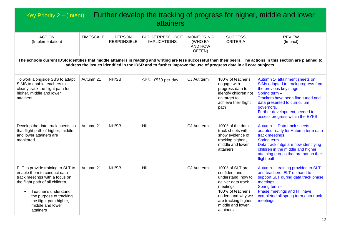| Key Priority 2 - (Intent)                                                                                                                                                                                                                                                            |                  |                                     | <b>attainers</b>                              |                                                   |                                                                                                                                                                                           | Further develop the tracking of progress for higher, middle and lower                                                                                                                                                                                                    |  |  |  |  |  |  |
|--------------------------------------------------------------------------------------------------------------------------------------------------------------------------------------------------------------------------------------------------------------------------------------|------------------|-------------------------------------|-----------------------------------------------|---------------------------------------------------|-------------------------------------------------------------------------------------------------------------------------------------------------------------------------------------------|--------------------------------------------------------------------------------------------------------------------------------------------------------------------------------------------------------------------------------------------------------------------------|--|--|--|--|--|--|
| <b>ACTION</b><br>(Implementation)                                                                                                                                                                                                                                                    | <b>TIMESCALE</b> | <b>PERSON</b><br><b>RESPONSIBLE</b> | <b>BUDGET/RESOURCE</b><br><b>IMPLICATIONS</b> | <b>MONITORING</b><br>(WHO BY<br>AND HOW<br>OFTEN) | <b>SUCCESS</b><br><b>CRITERIA</b>                                                                                                                                                         | <b>REVIEW</b><br>(Impact)                                                                                                                                                                                                                                                |  |  |  |  |  |  |
| The schools current IDSR identifies that middle attainers in reading and writing are less successful than their peers. The actions in this section are planned to<br>address the issues identified in the IDSR and to further improve the use of progress data in all core subjects. |                  |                                     |                                               |                                                   |                                                                                                                                                                                           |                                                                                                                                                                                                                                                                          |  |  |  |  |  |  |
| To work alongside SBS to adapt<br>SIMS to enable teachers to<br>clearly track the flight path for<br>higher, middle and lower<br>attainers                                                                                                                                           | Autumn 21        | NH/SB                               | SBS- £550 per day                             | CJ Aut term                                       | 100% of teacher's<br>engage with<br>progress data to<br>identify children not<br>on target to<br>achieve their flight<br>path                                                             | Autumn 1- attainment sheets on<br>SIMs adapted to track progress from<br>the previous key stage.<br>Spring term -<br>Trackers have been fine-tuned and<br>data presented to curriculum<br>governors.<br>Further development needed to<br>assess progress within the EYFS |  |  |  |  |  |  |
| Develop the data track sheets so<br>that flight path of higher, middle<br>and lower attainers are<br>monitored                                                                                                                                                                       | Autumn 21        | NH/SB                               | Nil                                           | CJ Aut term                                       | 100% of the data<br>track sheets will<br>show evidence of<br>tracking higher,<br>middle and lower<br>attainers                                                                            | Autumn 1- Data track sheets<br>adapted ready for Autumn term data<br>track meetings.<br>Spring term -<br>Data track mtgs are now identifying<br>children in the middle and higher<br>attaining groups that are not on their<br>flight path.                              |  |  |  |  |  |  |
| ELT to provide training to SLT to<br>enable them to conduct data<br>track meetings with a focus on<br>the flight path of all children<br>Teacher's understand<br>the purpose of tracking<br>the flight path higher,<br>middle and lower<br>attainers                                 | Autumn 21        | NH/SB                               | Nil                                           | CJ Aut term                                       | 100% of SLT are<br>confident and<br>understand how to<br>deliver data track<br>meetings<br>100% of teacher's<br>understand why we<br>are tracking higher<br>middle and lower<br>attainers | Autumn 1- training provided to SLT<br>and teachers. ELT on hand to<br>support SLT during data track phase<br>meetings.<br>Spring term -<br>Phase meetings and HT have<br>completed all spring term data track<br>meetings                                                |  |  |  |  |  |  |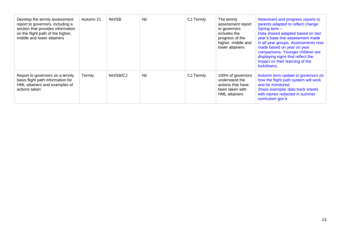| Develop the termly assessment<br>report to governors, including a<br>section that provides information<br>on the flight path of the higher,<br>middle and lower attainers | Autumn 21 | NH/SB    | Nil | CJ Termly | The termly<br>assessment report<br>to governors<br>includes the<br>progress of the<br>higher, middle and<br>lower attainers | Attainment and progress reports to<br>parents adapted to reflect change<br>Spring term -<br>Data shared adapted based on last<br>year's base line assessment made<br>in all year groups. Assessments now<br>made based on year on year<br>comparisons. Younger children are<br>displaying signs that reflect the<br>impact on their learning of the<br>lockdowns. |
|---------------------------------------------------------------------------------------------------------------------------------------------------------------------------|-----------|----------|-----|-----------|-----------------------------------------------------------------------------------------------------------------------------|-------------------------------------------------------------------------------------------------------------------------------------------------------------------------------------------------------------------------------------------------------------------------------------------------------------------------------------------------------------------|
| Report to governors on a termly<br>basis flight path information for<br>HML attainers and examples of<br>actions taken                                                    | Termly    | NH/SB/CJ | Nil | CJ Termly | 100% of governors<br>understand the<br>actions that have<br>been taken with<br><b>HML</b> attainers                         | Autumn term update to governors on<br>how the flight path system will work<br>and be monitored.<br>Share exemplar data track sheets<br>with names redacted in summer<br>curriculum gov's                                                                                                                                                                          |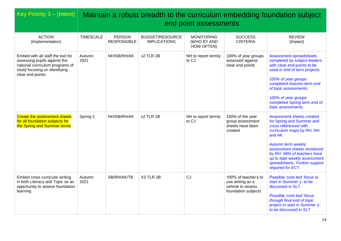| <b>Key Priority 3 – (Intent)</b>                                                                                                                           |                  |                                     |                                               | end point assessments                          |                                                                                      | Maintain a robust breadth to the curriculum embedding foundation subject                                                                                                                                                                                                                                |
|------------------------------------------------------------------------------------------------------------------------------------------------------------|------------------|-------------------------------------|-----------------------------------------------|------------------------------------------------|--------------------------------------------------------------------------------------|---------------------------------------------------------------------------------------------------------------------------------------------------------------------------------------------------------------------------------------------------------------------------------------------------------|
| <b>ACTION</b><br>(Implementation)                                                                                                                          | <b>TIMESCALE</b> | <b>PERSON</b><br><b>RESPONSIBLE</b> | <b>BUDGET/RESOURCE</b><br><b>IMPLICATIONS</b> | <b>MONITORING</b><br>(WHO BY AND<br>HOW OFTEN) | <b>SUCCESS</b><br><b>CRITERIA</b>                                                    | <b>REVIEW</b><br>(Impact)                                                                                                                                                                                                                                                                               |
| Embed with all staff the tool for<br>assessing pupils against the<br>national curriculum programs of<br>study focusing on identifying<br>clear end points. | Autumn<br>2021   | NH/SB/RH/AK                         | x2 TLR 2B                                     | NH to report termly<br>to CJ                   | 100% of year groups<br>assessed against<br>clear end points                          | <b>Assessment spreadsheets</b><br>completed by subject leaders<br>with clear end-points to be<br>used in end of term projects.<br>100% of year groups<br>completed Autumn term end<br>of topic assessments.<br>100% of year groups<br>completed Spring term end of<br>topic assessments.                |
| <b>Create the assessment sheets</b><br>for all foundation subjects for<br>the Spring and Summer terms                                                      | Spring 2         | NH/SB/RH/AK                         | x2 TLR 2B                                     | NH to report termly<br>to CJ                   | 100% of the year<br>group assessment<br>sheets have been<br>created                  | Assessment sheets created<br>for Spring and Summer and<br>cross referenced with<br>curriculum maps by RH, NH<br>and AK.<br><b>Autumn term weekly</b><br>assessment sheets monitored<br>by RH-94% of teachers have<br>up to date weekly assessment<br>spreadsheets. Further support<br>required for ECT. |
| Embed cross curricular writing<br>in both Literacy and Topic as an<br>opportunity to assess foundation<br>learning                                         | Autumn<br>2021   | SB/RH/AK/TB                         | X3 TLR 2B                                     | CJ                                             | 100% of teacher's to<br>use writing as a<br>vehicle to assess<br>foundation subjects | Possible 'core text' focus to<br>start in Summer 1- to be<br>discussed in SLT.<br>Possible 'core text' focus<br>through final end of topic<br>project to start in Summer 1-<br>to be discussed in SLT.                                                                                                  |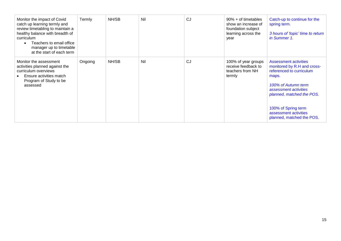| Monitor the impact of Covid<br>catch up learning termly and<br>review timetabling to maintain a<br>healthy balance with breadth of<br>curriculum<br>Teachers to email office<br>manager up to timetable<br>at the start of each term | Termly  | NH/SB | Nil | <b>CJ</b> | 90% + of timetables<br>show an increase of<br>foundation subject<br>learning across the<br>year | Catch-up to continue for the<br>spring term.<br>3 hours of 'topic' time to return<br>in Summer 1.                                                                                                                                                   |
|--------------------------------------------------------------------------------------------------------------------------------------------------------------------------------------------------------------------------------------|---------|-------|-----|-----------|-------------------------------------------------------------------------------------------------|-----------------------------------------------------------------------------------------------------------------------------------------------------------------------------------------------------------------------------------------------------|
| Monitor the assessment<br>activities planned against the<br>curriculum overviews<br>Ensure activities match<br>Program of Study to be<br>assessed                                                                                    | Ongoing | NH/SB | Nil | CJ        | 100% of year groups<br>receive feedback to<br>teachers from NH<br>termly                        | Assessment activities<br>monitored by R.H and cross-<br>referenced to curriculum<br>maps.<br>100% of Autumn term<br>assessment activities<br>planned, matched the POS.<br>100% of Spring term<br>assessment activities<br>planned, matched the POS. |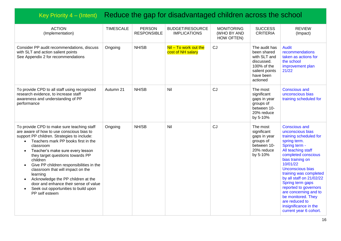## Key Priority 4 – (Intent) Reduce the gap for disadvantaged children across the school

| <b>ACTION</b><br>(Implementation)                                                                                                                                                                                                                                                                                                                                                                                                                                                                                                              | <b>TIMESCALE</b> | <b>PERSON</b><br><b>RESPONSIBLE</b> | <b>BUDGET/RESOURCE</b><br><b>IMPLICATIONS</b> | <b>MONITORING</b><br>(WHO BY AND<br>HOW OFTEN) | <b>SUCCESS</b><br><b>CRITERIA</b>                                                                                    | <b>REVIEW</b><br>(Impact)                                                                                                                                                                                                                                                                                                                                                                                                   |
|------------------------------------------------------------------------------------------------------------------------------------------------------------------------------------------------------------------------------------------------------------------------------------------------------------------------------------------------------------------------------------------------------------------------------------------------------------------------------------------------------------------------------------------------|------------------|-------------------------------------|-----------------------------------------------|------------------------------------------------|----------------------------------------------------------------------------------------------------------------------|-----------------------------------------------------------------------------------------------------------------------------------------------------------------------------------------------------------------------------------------------------------------------------------------------------------------------------------------------------------------------------------------------------------------------------|
| Consider PP audit recommendations, discuss<br>with SLT and action salient points<br>See Appendix 2 for recommendations                                                                                                                                                                                                                                                                                                                                                                                                                         | Ongoing          | NH/SB                               | $Nil - To work out the$<br>cost of NH salary  | CJ                                             | The audit has<br>been shared<br>with SLT and<br>discussed.<br>100% of the<br>salient points<br>have been<br>actioned | <b>Audit</b><br>recommendations<br>taken as actions for<br>the school<br>improvement plan<br>21/22                                                                                                                                                                                                                                                                                                                          |
| To provide CPD to all staff using recognized<br>research evidence, to increase staff<br>awareness and understanding of PP<br>performance                                                                                                                                                                                                                                                                                                                                                                                                       | Autumn 21        | NH/SB                               | Nil                                           | CJ                                             | The most<br>significant<br>gaps in year<br>groups of<br>between 10-<br>20% reduce<br>by 5-10%                        | <b>Conscious and</b><br>unconscious bias<br>training scheduled for                                                                                                                                                                                                                                                                                                                                                          |
| To provide CPD to make sure teaching staff<br>are aware of how to use conscious bias to<br>support PP children. Strategies to include:<br>Teachers mark PP books first in the<br>classroom<br>Teacher's make sure every lesson<br>$\bullet$<br>they target questions towards PP<br>children<br>Give PP children responsibilities in the<br>$\bullet$<br>classroom that will impact on the<br>learning<br>Acknowledge the PP children at the<br>door and enhance their sense of value<br>Seek out opportunities to build upon<br>PP self esteem | Ongoing          | NH/SB                               | Nil                                           | CJ                                             | The most<br>significant<br>gaps in year<br>groups of<br>between 10-<br>20% reduce<br>by 5-10%                        | <b>Conscious and</b><br>unconscious bias<br>training scheduled for<br>spring term.<br>Spring term -<br>All teaching staff<br>completed conscious<br>bias training on<br>10/01/22<br>Unconscious bias<br>training was completed<br>by all staff on 21/02/22<br>Spring term gaps<br>reported to governors<br>are concerning and to<br>be monitored. They<br>are reduced to<br>insignificance in the<br>current year 6 cohort. |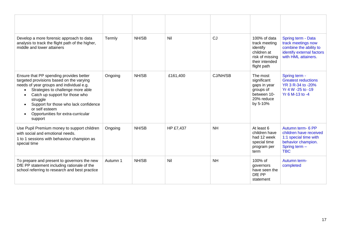| Develop a more forensic approach to data<br>analysis to track the flight path of the higher,<br>middle and lower attainers                                                                                                                                                                                                                                            | Termly   | NH/SB | Nil       | CJ        | 100% of data<br>track meeting<br>identify<br>children at<br>risk of missing<br>their intended<br>flight path | Spring term - Data<br>track meetings now<br>combine the ability to<br>identify external factors<br>with HML attainers.    |
|-----------------------------------------------------------------------------------------------------------------------------------------------------------------------------------------------------------------------------------------------------------------------------------------------------------------------------------------------------------------------|----------|-------|-----------|-----------|--------------------------------------------------------------------------------------------------------------|---------------------------------------------------------------------------------------------------------------------------|
| Ensure that PP spending provides better<br>targeted provisions based on the varying<br>needs of year groups and individual e.g.<br>Strategies to challenge more able<br>$\bullet$<br>Catch up support for those who<br>$\bullet$<br>struggle<br>Support for those who lack confidence<br>$\bullet$<br>or self esteem<br>Opportunities for extra-curricular<br>support | Ongoing  | NH/SB | £161,400  | CJ/NH/SB  | The most<br>significant<br>gaps in year<br>groups of<br>between 10-<br>20% reduce<br>by 5-10%                | Spring term -<br><b>Greatest reductions</b><br>YR 3 R-34 to -20%<br>Yr 4 W -25 to -19<br>Yr 6 M-13 to -4                  |
| Use Pupil Premium money to support children<br>with social and emotional needs.<br>1 to 1 sessions with behaviour champion as<br>special time                                                                                                                                                                                                                         | Ongoing  | NH/SB | HP £7,437 | <b>NH</b> | At least 6<br>children have<br>had 12 week<br>special time<br>program per<br>term                            | Autumn term- 6 PP<br>children have received<br>1:1 special time with<br>behavior champion.<br>Spring term -<br><b>TBC</b> |
| To prepare and present to governors the new<br>DfE PP statement including rationale of the<br>school referring to research and best practice                                                                                                                                                                                                                          | Autumn 1 | NH/SB | Nil       | <b>NH</b> | 100% of<br>governors<br>have seen the<br>DfE PP<br>statement                                                 | Autumn term-<br>completed                                                                                                 |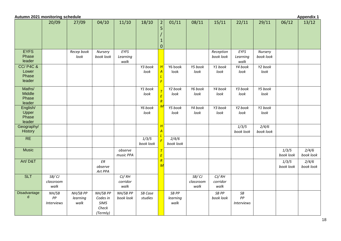| Autumn 2021 monitoring schedule                |                                  |                              |                                                   |                           |                    |                                       |                           |                            |                           |                                          |                      |                    | <b>Appendix 1</b>             |
|------------------------------------------------|----------------------------------|------------------------------|---------------------------------------------------|---------------------------|--------------------|---------------------------------------|---------------------------|----------------------------|---------------------------|------------------------------------------|----------------------|--------------------|-------------------------------|
|                                                | 20/09                            | 27/09                        | 04/10                                             | 11/10                     | 18/10              | $\overline{2}$<br>5                   | 01/11                     | 08/11                      | 15/11                     | 22/11                                    | 29/11                | 06/12              | 13/12                         |
|                                                |                                  |                              |                                                   |                           |                    | $\mathbf{0}$                          |                           |                            |                           |                                          |                      |                    |                               |
| <b>EYFS</b><br>Phase<br>leader                 |                                  | Recep book<br>look           | Nursery<br>book look                              | EYFS<br>Learning<br>walk  |                    |                                       |                           |                            | Reception<br>book look    | EYFS<br>Learning<br>walk                 | Nursery<br>book look |                    |                               |
| <b>CC/P4C&amp;</b><br>Lower<br>Phase<br>leader |                                  |                              |                                                   |                           | Y3 book<br>look    | H<br>$\overline{A}$<br>$\overline{F}$ | Y6 book<br>look           | Y5 book<br>look            | Y1 book<br>look           | Y4 book<br>look                          | Y2 book<br>look      |                    |                               |
| Maths/<br>Middle<br>Phase<br>leader            |                                  |                              |                                                   |                           | Y1 book<br>look    | $\overline{E}$<br>$\overline{R}$      | Y2 book<br>look           | Y6 book<br>look            | Y4 book<br>look           | Y3 book<br>look                          | Y5 book<br>look      |                    |                               |
| English/<br>Upper<br>Phase<br>leader           |                                  |                              |                                                   |                           | Y6 book<br>look    |                                       | Y5 book<br>look           | Y4 book<br>look            | Y3 book<br>look           | Y2 book<br>look                          | Y1 book<br>look      |                    |                               |
| Geography/<br>History                          |                                  |                              |                                                   |                           |                    | Н<br>A                                |                           |                            |                           | 1/3/5<br>book look                       | 2/4/6<br>book look   |                    |                               |
| RE                                             |                                  |                              |                                                   |                           | 1/3/5<br>book look |                                       | 2/4/6<br>book look        |                            |                           |                                          |                      |                    |                               |
| <b>Music</b>                                   |                                  |                              |                                                   | observe<br>music PPA      |                    | E                                     |                           |                            |                           |                                          |                      | 1/3/5<br>book look | $\frac{2}{4}{6}$<br>book look |
| Art/D&T                                        |                                  |                              | ${\it ER}$<br>observe<br>Art PPA                  |                           |                    | $\overline{R}$<br>$\overline{M}$      |                           |                            |                           |                                          |                      | 1/3/5<br>book look | 2/4/6<br>book look            |
| <b>SLT</b>                                     | SB/CJ<br>classroom<br>walk       |                              |                                                   | CJ/RH<br>corridor<br>walk |                    |                                       |                           | SB/CJ<br>classroom<br>walk | CJ/RH<br>corridor<br>walk |                                          |                      |                    |                               |
| <b>Disadvantage</b><br>d                       | NH/SB<br>PP<br><b>Interviews</b> | NH/SB PP<br>learning<br>walk | NH/SB PP<br>Codes in<br>SIMS<br>Check<br>(Termly) | NH/SB PP<br>book look     | SB Case<br>studies |                                       | SB PP<br>learning<br>walk |                            | SB PP<br>book look        | $\mathit{SB}$<br>PP<br><b>Interviews</b> |                      |                    |                               |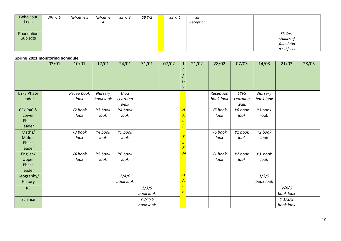| Behaviour  | NH Yr 6 | NH/SB Yr 5 | NH/SB Yr | SB Yr 3 | SB Yr2 | SB Yr 1 | SB        |  |            |  |
|------------|---------|------------|----------|---------|--------|---------|-----------|--|------------|--|
| Logs       |         |            | 4        |         |        |         | Reception |  |            |  |
|            |         |            |          |         |        |         |           |  |            |  |
| Foundation |         |            |          |         |        |         |           |  | SB Case    |  |
| Subjects   |         |            |          |         |        |         |           |  | studies of |  |
|            |         |            |          |         |        |         |           |  | foundatio  |  |
|            |         |            |          |         |        |         |           |  | n subjects |  |

#### **Spring 2021 monitoring schedule**

|                                                | 03/01 | 10/01              | 17/01                | 24/01                    | 31/01               | 07/02 | $\mathbf{1}$<br>0<br>$\overline{2}$ | 21/02 | 28/02                  | 07/03                    | 14/03                | 21/03                          | 28/03 |
|------------------------------------------------|-------|--------------------|----------------------|--------------------------|---------------------|-------|-------------------------------------|-------|------------------------|--------------------------|----------------------|--------------------------------|-------|
| <b>EYFS Phase</b><br>leader                    |       | Recep book<br>look | Nursery<br>book look | EYFS<br>Learning<br>walk |                     |       |                                     |       | Reception<br>book look | EYFS<br>Learning<br>walk | Nursery<br>book look |                                |       |
| <b>CC/P4C&amp;</b><br>Lower<br>Phase<br>leader |       | Y2 book<br>look    | Y3 book<br>look      | Y4 book<br>look          |                     |       | H                                   |       | Y5 book<br>look        | Y6 book<br>look          | Y1 book<br>look      |                                |       |
| Maths/<br>Middle<br>Phase<br>leader            |       | Y3 book<br>look    | Y4 book<br>look      | Y5 book<br>look          |                     |       | Ε<br>$\overline{R}$                 |       | Y6 book<br>look        | Y1 book<br>look          | Y2 book<br>look      |                                |       |
| English/<br>Upper<br>Phase<br>leader           |       | Y4 book<br>look    | Y5 book<br>look      | Y6 book<br>look          |                     |       | М                                   |       | Y1 book<br>look        | Y2 book<br>look          | Y3 book<br>look      |                                |       |
| Geography/<br>History                          |       |                    |                      | 2/4/6<br>book look       |                     |       | H                                   |       |                        |                          | 1/3/5<br>book look   |                                |       |
| <b>RE</b>                                      |       |                    |                      |                          | 1/3/5<br>book look  |       |                                     |       |                        |                          |                      | 2/4/6<br>book look             |       |
| Science                                        |       |                    |                      |                          | Y2/4/6<br>book look |       |                                     |       |                        |                          |                      | $Y\frac{1}{3}$ /5<br>book look |       |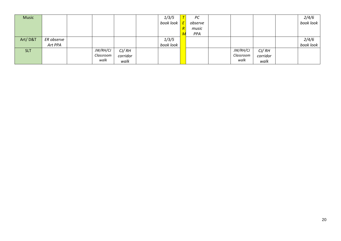| <b>Music</b> |            |           |          | 1/3/5     | PC      |                 |          | $\frac{2}{4/6}$    |
|--------------|------------|-----------|----------|-----------|---------|-----------------|----------|--------------------|
|              |            |           |          | book look | observe |                 |          |                    |
|              |            |           |          |           | music   |                 |          |                    |
|              |            |           |          |           | PPA     |                 |          |                    |
| Art/D&T      | ER observe |           |          | 1/3/5     |         |                 |          | 2/4/6<br>book look |
|              | Art PPA    |           |          | book look |         |                 |          |                    |
| <b>SLT</b>   |            | JW/RH/CJ  | CJ/RH    |           |         | <b>JW/RH/CJ</b> | CJ/RH    |                    |
|              |            | Classroom | corridor |           |         | Classroom       | corridor |                    |
|              |            | walk      | walk     |           |         | walk            | walk     |                    |